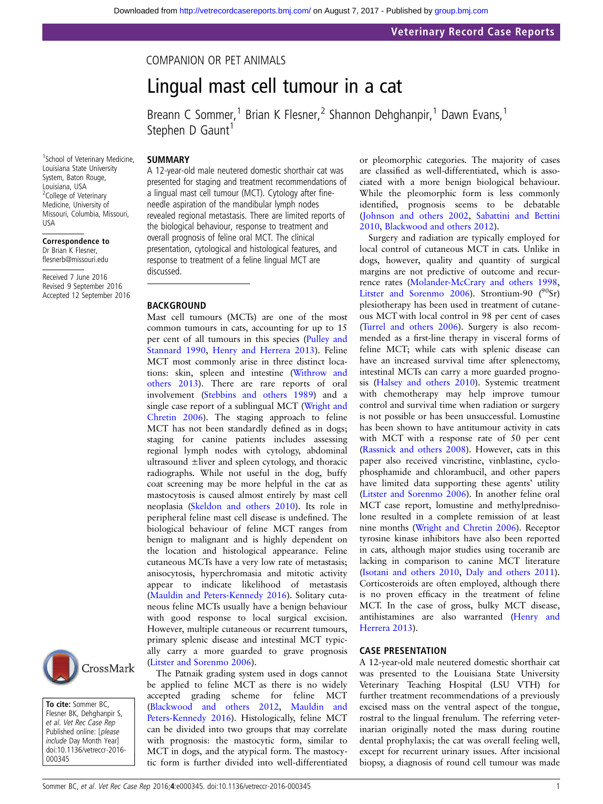## COMPANION OR PET ANIMALS

# Lingual mast cell tumour in a cat

Breann C Sommer,<sup>1</sup> Brian K Flesner,<sup>2</sup> Shannon Dehghanpir,<sup>1</sup> Dawn Evans,<sup>1</sup> Stephen D Gaunt<sup>1</sup>

#### SUMMARY

<sup>1</sup> School of Veterinary Medicine, Louisiana State University System, Baton Rouge, Louisiana, USA <sup>2</sup>College of Veterinary Medicine, University of Missouri, Columbia, Missouri, USA

Correspondence to Dr Brian K Flesner, flesnerb@missouri.edu

Received 7 June 2016 Revised 9 September 2016 Accepted 12 September 2016



To cite: Sommer BC, Flesner BK, Dehghanpir S, et al. Vet Rec Case Rep Published online: [please include Day Month Year] doi:10.1136/vetreccr-2016- 000345

# A 12-year-old male neutered domestic shorthair cat was

presented for staging and treatment recommendations of a lingual mast cell tumour (MCT). Cytology after fineneedle aspiration of the mandibular lymph nodes revealed regional metastasis. There are limited reports of the biological behaviour, response to treatment and overall prognosis of feline oral MCT. The clinical presentation, cytological and histological features, and response to treatment of a feline lingual MCT are discussed.

#### BACKGROUND

Mast cell tumours (MCTs) are one of the most common tumours in cats, accounting for up to 15 per cent of all tumours in this species ([Pulley and](#page-2-0) [Stannard 1990](#page-2-0), [Henry and Herrera 2013](#page-2-0)). Feline MCT most commonly arise in three distinct locations: skin, spleen and intestine ([Withrow and](#page-2-0) [others 2013](#page-2-0)). There are rare reports of oral involvement ([Stebbins and others 1989\)](#page-2-0) and a single case report of a sublingual MCT [\(Wright and](#page-2-0) [Chretin 2006\)](#page-2-0). The staging approach to feline MCT has not been standardly defined as in dogs; staging for canine patients includes assessing regional lymph nodes with cytology, abdominal ultrasound ±liver and spleen cytology, and thoracic radiographs. While not useful in the dog, buffy coat screening may be more helpful in the cat as mastocytosis is caused almost entirely by mast cell neoplasia ([Skeldon and others 2010\)](#page-2-0). Its role in peripheral feline mast cell disease is undefined. The biological behaviour of feline MCT ranges from benign to malignant and is highly dependent on the location and histological appearance. Feline cutaneous MCTs have a very low rate of metastasis; anisocytosis, hyperchromasia and mitotic activity appear to indicate likelihood of metastasis [\(Mauldin and Peters-Kennedy 2016](#page-2-0)). Solitary cutaneous feline MCTs usually have a benign behaviour with good response to local surgical excision. However, multiple cutaneous or recurrent tumours, primary splenic disease and intestinal MCT typically carry a more guarded to grave prognosis [\(Litster and Sorenmo 2006](#page-2-0)).

The Patnaik grading system used in dogs cannot be applied to feline MCT as there is no widely accepted grading scheme for feline MCT [\(Blackwood and others 2012,](#page-2-0) [Mauldin and](#page-2-0) [Peters-Kennedy 2016](#page-2-0)). Histologically, feline MCT can be divided into two groups that may correlate with prognosis: the mastocytic form, similar to MCT in dogs, and the atypical form. The mastocytic form is further divided into well-differentiated

or pleomorphic categories. The majority of cases are classified as well-differentiated, which is associated with a more benign biological behaviour. While the pleomorphic form is less commonly identified, prognosis seems to be debatable [\(Johnson and others 2002](#page-2-0), [Sabattini and Bettini](#page-2-0) [2010](#page-2-0), [Blackwood and others 2012](#page-2-0)).

Surgery and radiation are typically employed for local control of cutaneous MCT in cats. Unlike in dogs, however, quality and quantity of surgical margins are not predictive of outcome and recurrence rates [\(Molander-McCrary and others 1998,](#page-2-0) [Litster and Sorenmo 2006](#page-2-0)). Strontium-90 ( $90$ Sr) plesiotherapy has been used in treatment of cutaneous MCT with local control in 98 per cent of cases [\(Turrel and others 2006\)](#page-2-0). Surgery is also recommended as a first-line therapy in visceral forms of feline MCT; while cats with splenic disease can have an increased survival time after splenectomy, intestinal MCTs can carry a more guarded prognosis ([Halsey and others 2010](#page-2-0)). Systemic treatment with chemotherapy may help improve tumour control and survival time when radiation or surgery is not possible or has been unsuccessful. Lomustine has been shown to have antitumour activity in cats with MCT with a response rate of 50 per cent [\(Rassnick and others 2008](#page-2-0)). However, cats in this paper also received vincristine, vinblastine, cyclophosphamide and chlorambucil, and other papers have limited data supporting these agents' utility [\(Litster and Sorenmo 2006\)](#page-2-0). In another feline oral MCT case report, lomustine and methylprednisolone resulted in a complete remission of at least nine months [\(Wright and Chretin 2006](#page-2-0)). Receptor tyrosine kinase inhibitors have also been reported in cats, although major studies using toceranib are lacking in comparison to canine MCT literature [\(Isotani and others 2010,](#page-2-0) [Daly and others 2011\)](#page-2-0). Corticosteroids are often employed, although there is no proven efficacy in the treatment of feline MCT. In the case of gross, bulky MCT disease, antihistamines are also warranted [\(Henry and](#page-2-0) [Herrera 2013\)](#page-2-0).

#### CASE PRESENTATION

A 12-year-old male neutered domestic shorthair cat was presented to the Louisiana State University Veterinary Teaching Hospital (LSU VTH) for further treatment recommendations of a previously excised mass on the ventral aspect of the tongue, rostral to the lingual frenulum. The referring veterinarian originally noted the mass during routine dental prophylaxis; the cat was overall feeling well, except for recurrent urinary issues. After incisional biopsy, a diagnosis of round cell tumour was made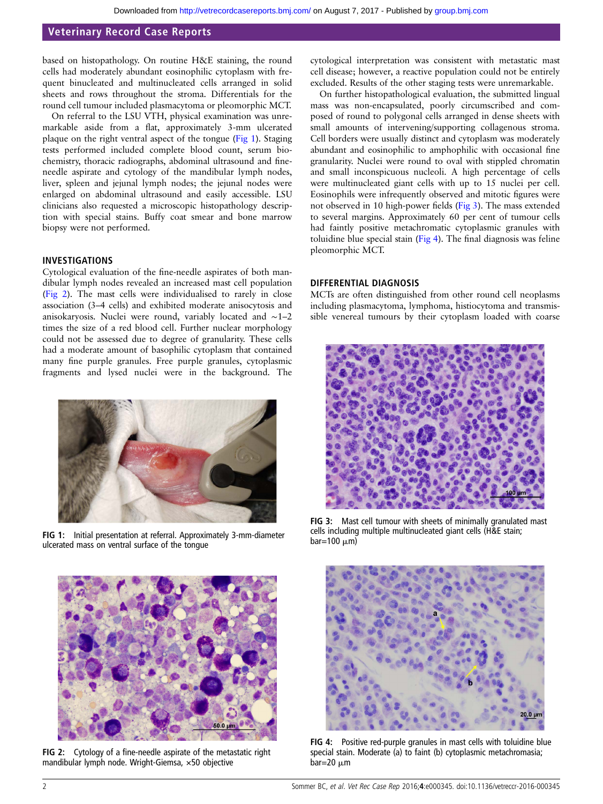### Veterinary Record Case Reports

based on histopathology. On routine H&E staining, the round cells had moderately abundant eosinophilic cytoplasm with frequent binucleated and multinucleated cells arranged in solid sheets and rows throughout the stroma. Differentials for the round cell tumour included plasmacytoma or pleomorphic MCT.

On referral to the LSU VTH, physical examination was unremarkable aside from a flat, approximately 3-mm ulcerated plaque on the right ventral aspect of the tongue (Fig 1). Staging tests performed included complete blood count, serum biochemistry, thoracic radiographs, abdominal ultrasound and fineneedle aspirate and cytology of the mandibular lymph nodes, liver, spleen and jejunal lymph nodes; the jejunal nodes were enlarged on abdominal ultrasound and easily accessible. LSU clinicians also requested a microscopic histopathology description with special stains. Buffy coat smear and bone marrow biopsy were not performed.

#### INVESTIGATIONS

Cytological evaluation of the fine-needle aspirates of both mandibular lymph nodes revealed an increased mast cell population (Fig 2). The mast cells were individualised to rarely in close association (3–4 cells) and exhibited moderate anisocytosis and anisokaryosis. Nuclei were round, variably located and ∼1–2 times the size of a red blood cell. Further nuclear morphology could not be assessed due to degree of granularity. These cells had a moderate amount of basophilic cytoplasm that contained many fine purple granules. Free purple granules, cytoplasmic fragments and lysed nuclei were in the background. The



FIG 1: Initial presentation at referral. Approximately 3-mm-diameter ulcerated mass on ventral surface of the tongue



FIG 2: Cytology of a fine-needle aspirate of the metastatic right mandibular lymph node. Wright-Giemsa, ×50 objective

cytological interpretation was consistent with metastatic mast cell disease; however, a reactive population could not be entirely excluded. Results of the other staging tests were unremarkable.

On further histopathological evaluation, the submitted lingual mass was non-encapsulated, poorly circumscribed and composed of round to polygonal cells arranged in dense sheets with small amounts of intervening/supporting collagenous stroma. Cell borders were usually distinct and cytoplasm was moderately abundant and eosinophilic to amphophilic with occasional fine granularity. Nuclei were round to oval with stippled chromatin and small inconspicuous nucleoli. A high percentage of cells were multinucleated giant cells with up to 15 nuclei per cell. Eosinophils were infrequently observed and mitotic figures were not observed in 10 high-power fields (Fig 3). The mass extended to several margins. Approximately 60 per cent of tumour cells had faintly positive metachromatic cytoplasmic granules with toluidine blue special stain (Fig 4). The final diagnosis was feline pleomorphic MCT.

#### DIFFERENTIAL DIAGNOSIS

MCTs are often distinguished from other round cell neoplasms including plasmacytoma, lymphoma, histiocytoma and transmissible venereal tumours by their cytoplasm loaded with coarse



FIG 3: Mast cell tumour with sheets of minimally granulated mast cells including multiple multinucleated giant cells (H&E stain;  $bar=100 \mu m)$ 



FIG 4: Positive red-purple granules in mast cells with toluidine blue special stain. Moderate (a) to faint (b) cytoplasmic metachromasia;  $bar=20 \mu m$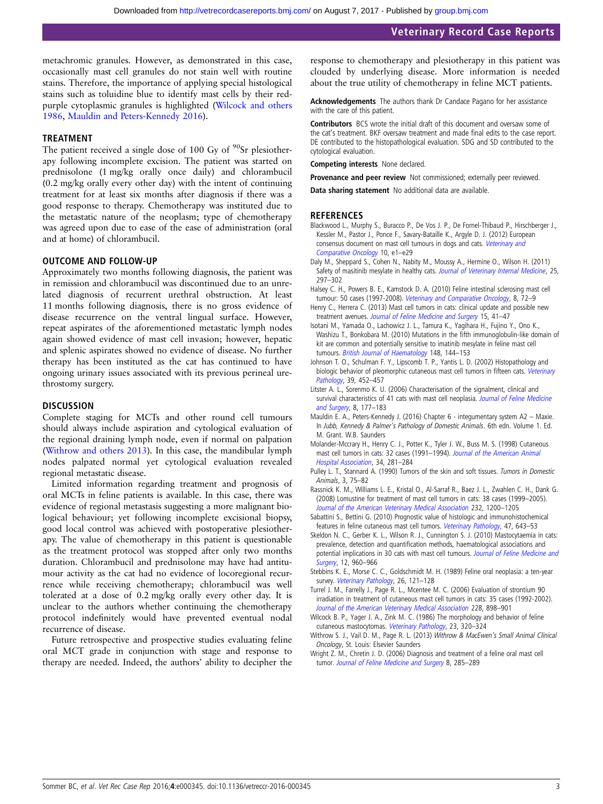<span id="page-2-0"></span>metachromic granules. However, as demonstrated in this case, occasionally mast cell granules do not stain well with routine stains. Therefore, the importance of applying special histological stains such as toluidine blue to identify mast cells by their redpurple cytoplasmic granules is highlighted (Wilcock and others 1986, Mauldin and Peters-Kennedy 2016).

#### TREATMENT

The patient received a single dose of 100 Gy of  $90$ Sr plesiotherapy following incomplete excision. The patient was started on prednisolone (1 mg/kg orally once daily) and chlorambucil (0.2 mg/kg orally every other day) with the intent of continuing treatment for at least six months after diagnosis if there was a good response to therapy. Chemotherapy was instituted due to the metastatic nature of the neoplasm; type of chemotherapy was agreed upon due to ease of the ease of administration (oral and at home) of chlorambucil.

#### OUTCOME AND FOLLOW-UP

Approximately two months following diagnosis, the patient was in remission and chlorambucil was discontinued due to an unrelated diagnosis of recurrent urethral obstruction. At least 11 months following diagnosis, there is no gross evidence of disease recurrence on the ventral lingual surface. However, repeat aspirates of the aforementioned metastatic lymph nodes again showed evidence of mast cell invasion; however, hepatic and splenic aspirates showed no evidence of disease. No further therapy has been instituted as the cat has continued to have ongoing urinary issues associated with its previous perineal urethrostomy surgery.

#### DISCUSSION

Complete staging for MCTs and other round cell tumours should always include aspiration and cytological evaluation of the regional draining lymph node, even if normal on palpation (Withrow and others 2013). In this case, the mandibular lymph nodes palpated normal yet cytological evaluation revealed regional metastatic disease.

Limited information regarding treatment and prognosis of oral MCTs in feline patients is available. In this case, there was evidence of regional metastasis suggesting a more malignant biological behaviour; yet following incomplete excisional biopsy, good local control was achieved with postoperative plesiotherapy. The value of chemotherapy in this patient is questionable as the treatment protocol was stopped after only two months duration. Chlorambucil and prednisolone may have had antitumour activity as the cat had no evidence of locoregional recurrence while receiving chemotherapy; chlorambucil was well tolerated at a dose of 0.2 mg/kg orally every other day. It is unclear to the authors whether continuing the chemotherapy protocol indefinitely would have prevented eventual nodal recurrence of disease.

Future retrospective and prospective studies evaluating feline oral MCT grade in conjunction with stage and response to therapy are needed. Indeed, the authors' ability to decipher the

response to chemotherapy and plesiotherapy in this patient was clouded by underlying disease. More information is needed about the true utility of chemotherapy in feline MCT patients.

Acknowledgements The authors thank Dr Candace Pagano for her assistance with the care of this patient.

Contributors BCS wrote the initial draft of this document and oversaw some of the cat's treatment. BKF oversaw treatment and made final edits to the case report. DE contributed to the histopathological evaluation. SDG and SD contributed to the cytological evaluation.

Competing interests None declared.

**Provenance and peer review** Not commissioned: externally peer reviewed.

Data sharing statement No additional data are available.

#### **REFERENCES**

- Blackwood L., Murphy S., Buracco P., De Vos J. P., De Fornel-Thibaud P., Hirschberger J., Kessler M., Pastor J., Ponce F., Savary-Bataille K., Argyle D. J. (2012) European consensus document on mast cell tumours in dogs and cats. [Veterinary and](http://dx.doi.org/10.1111/j.1476-5829.2012.00341.x) [Comparative Oncology](http://dx.doi.org/10.1111/j.1476-5829.2012.00341.x) 10, e1–e29
- Daly M., Sheppard S., Cohen N., Nabity M., Moussy A., Hermine O., Wilson H. (2011) Safety of masitinib mesylate in healthy cats. [Journal of Veterinary Internal Medicine](http://dx.doi.org/10.1111/j.1939-1676.2011.0687.x), 25, 297–302
- Halsey C. H., Powers B. E., Kamstock D. A. (2010) Feline intestinal sclerosing mast cell tumour: 50 cases (1997-2008). [Veterinary and Comparative Oncology](http://dx.doi.org/10.1111/j.1476-5829.2009.00206.x), 8, 72–9
- Henry C., Herrera C. (2013) Mast cell tumors in cats: clinical update and possible new treatment avenues. [Journal of Feline Medicine and Surgery](http://dx.doi.org/10.1177/1098612X12470343) 15, 41–47
- Isotani M., Yamada O., Lachowicz J. L., Tamura K., Yagihara H., Fujino Y., Ono K., Washizu T., Bonkobara M. (2010) Mutations in the fifth immunoglobulin-like domain of kit are common and potentially sensitive to imatinib mesylate in feline mast cell tumours. [British Journal of Haematology](http://dx.doi.org/10.1111/j.1365-2141.2009.07926.x) 148, 144–153
- Johnson T. O., Schulman F. Y., Lipscomb T. P., Yantis L. D. (2002) Histopathology and biologic behavior of pleomorphic cutaneous mast cell tumors in fifteen cats. [Veterinary](http://dx.doi.org/10.1354/vp.39-4-452) [Pathology](http://dx.doi.org/10.1354/vp.39-4-452), 39, 452–457
- Litster A. L., Sorenmo K. U. (2006) Characterisation of the signalment, clinical and survival characteristics of 41 cats with mast cell neoplasia. [Journal of Feline Medicine](http://dx.doi.org/10.1016/j.jfms.2005.12.005) [and Surgery](http://dx.doi.org/10.1016/j.jfms.2005.12.005), 8, 177–183
- Mauldin E. A., Peters-Kennedy J. (2016) Chapter 6 integumentary system A2 Maxie. In Jubb, Kennedy & Palmer's Pathology of Domestic Animals. 6th edn. Volume 1. Ed. M. Grant. W.B. Saunders
- Molander-Mccrary H., Henry C. J., Potter K., Tyler J. W., Buss M. S. (1998) Cutaneous mast cell tumors in cats: 32 cases (1991–1994). [Journal of the American Animal](http://dx.doi.org/10.5326/15473317-34-4-281) [Hospital Association](http://dx.doi.org/10.5326/15473317-34-4-281), 34, 281–284
- Pulley L. T., Stannard A. (1990) Tumors of the skin and soft tissues. Tumors in Domestic Animals, 3, 75–82
- Rassnick K. M., Williams L. E., Kristal O., Al-Sarraf R., Baez J. L., Zwahlen C. H., Dank G. (2008) Lomustine for treatment of mast cell tumors in cats: 38 cases (1999–2005). [Journal of the American Veterinary Medical Association](http://dx.doi.org/10.2460/javma.232.8.1200) 232, 1200–1205
- Sabattini S., Bettini G. (2010) Prognostic value of histologic and immunohistochemical features in feline cutaneous mast cell tumors. [Veterinary Pathology](http://dx.doi.org/10.1177/0300985810364509), 47, 643-53
- Skeldon N. C., Gerber K. L., Wilson R. J., Cunnington S. J. (2010) Mastocytaemia in cats: prevalence, detection and quantification methods, haematological associations and potential implications in 30 cats with mast cell tumours. [Journal of Feline Medicine and](http://dx.doi.org/10.1016/j.jfms.2010.08.003) [Surgery](http://dx.doi.org/10.1016/j.jfms.2010.08.003), 12, 960–966
- Stebbins K. E., Morse C. C., Goldschmidt M. H. (1989) Feline oral neoplasia: a ten-year survey. [Veterinary Pathology](http://dx.doi.org/10.1177/030098588902600204), 26, 121-128
- Turrel J. M., Farrelly J., Page R. L., Mcentee M. C. (2006) Evaluation of strontium 90 irradiation in treatment of cutaneous mast cell tumors in cats: 35 cases (1992-2002). [Journal of the American Veterinary Medical Association](http://dx.doi.org/10.2460/javma.228.6.898) 228, 898–901
- Wilcock B. P., Yager J. A., Zink M. C. (1986) The morphology and behavior of feline cutaneous mastocytomas. [Veterinary Pathology](http://dx.doi.org/10.1177/030098588602300411), 23, 320–324
- Withrow S. J., Vail D. M., Page R. L. (2013) Withrow & MacEwen's Small Animal Clinical Oncology, St. Louis: Elsevier Saunders
- Wright Z. M., Chretin J. D. (2006) Diagnosis and treatment of a feline oral mast cell tumor. [Journal of Feline Medicine and Surgery](http://dx.doi.org/10.1016/j.jfms.2006.01.007) 8, 285-289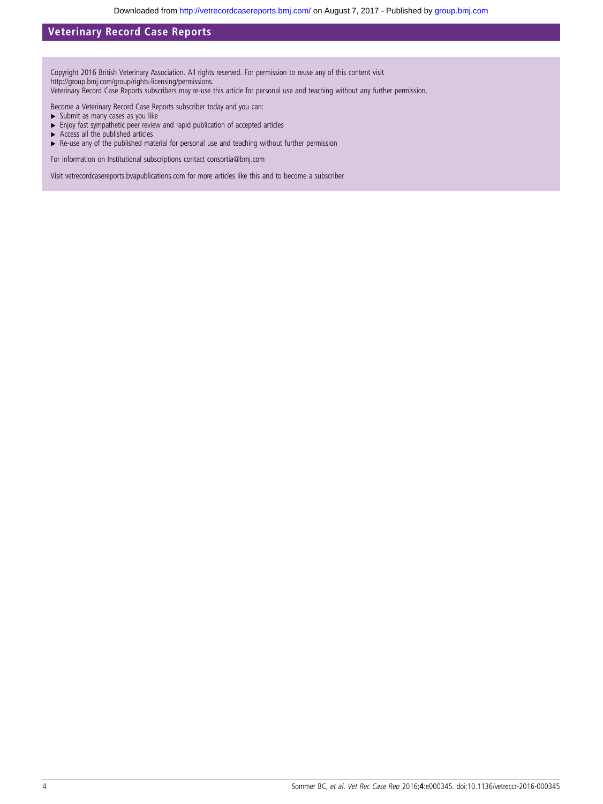## Veterinary Record Case Reports

Copyright 2016 British Veterinary Association. All rights reserved. For permission to reuse any of this content visit http://group.bmj.com/group/rights-licensing/permissions.

Veterinary Record Case Reports subscribers may re-use this article for personal use and teaching without any further permission.

Become a Veterinary Record Case Reports subscriber today and you can:

- ▸ Submit as many cases as you like
- ▸ Enjoy fast sympathetic peer review and rapid publication of accepted articles
- ▸ Access all the published articles
- ▸ Re-use any of the published material for personal use and teaching without further permission

For information on Institutional subscriptions contact consortia@bmj.com

Visit vetrecordcasereports.bvapublications.com for more articles like this and to become a subscriber